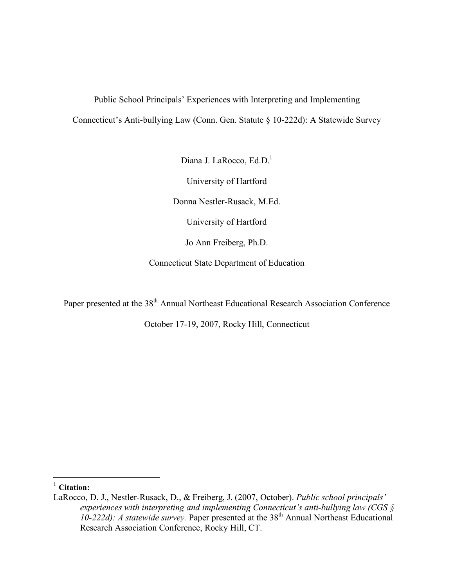# Public School Principals' Experiences with Interpreting and Implementing Connecticut's Anti-bullying Law (Conn. Gen. Statute § 10-222d): A Statewide Survey

Diana J. LaRocco, Ed.D.<sup>1</sup> University of Hartford Donna Nestler-Rusack, M.Ed. University of Hartford Jo Ann Freiberg, Ph.D. Connecticut State Department of Education

Paper presented at the 38<sup>th</sup> Annual Northeast Educational Research Association Conference

October 17-19, 2007, Rocky Hill, Connecticut

1 **Citation:**

LaRocco, D. J., Nestler-Rusack, D., & Freiberg, J. (2007, October). *Public school principals' experiences with interpreting and implementing Connecticut's anti-bullying law (CGS §*   $10-222d$ : A statewide survey. Paper presented at the  $38<sup>th</sup>$  Annual Northeast Educational Research Association Conference, Rocky Hill, CT.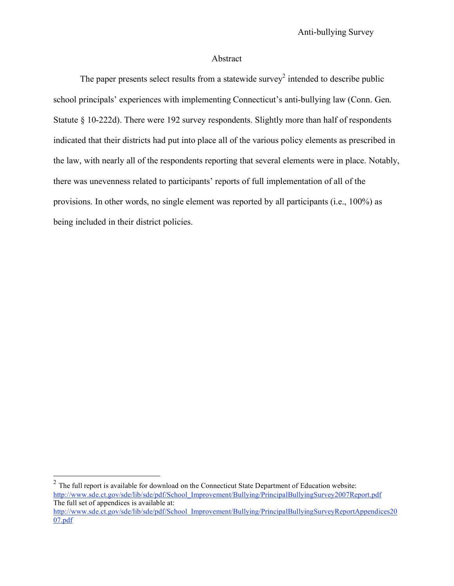### Abstract

The paper presents select results from a statewide survey<sup>2</sup> intended to describe public school principals' experiences with implementing Connecticut's anti-bullying law (Conn. Gen. Statute § 10-222d). There were 192 survey respondents. Slightly more than half of respondents indicated that their districts had put into place all of the various policy elements as prescribed in the law, with nearly all of the respondents reporting that several elements were in place. Notably, there was unevenness related to participants' reports of full implementation of all of the provisions. In other words, no single element was reported by all participants (i.e., 100%) as being included in their district policies.

<sup>&</sup>lt;sup>2</sup> The full report is available for download on the Connecticut State Department of Education website: http://www.sde.ct.gov/sde/lib/sde/pdf/School\_Improvement/Bullying/PrincipalBullyingSurvey2007Report.pdf The full set of appendices is available at:

http://www.sde.ct.gov/sde/lib/sde/pdf/School\_Improvement/Bullying/PrincipalBullyingSurveyReportAppendices20 07.pdf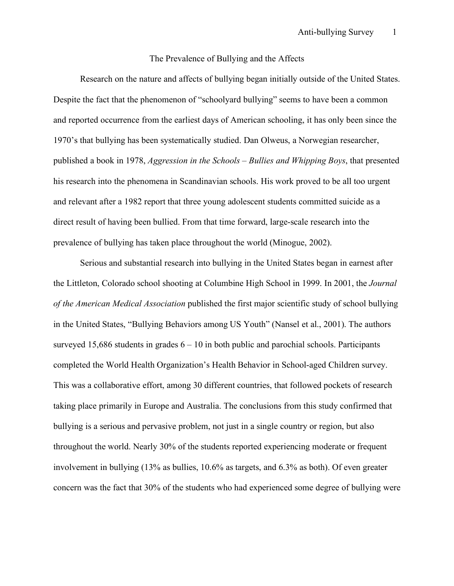#### The Prevalence of Bullying and the Affects

Research on the nature and affects of bullying began initially outside of the United States. Despite the fact that the phenomenon of "schoolyard bullying" seems to have been a common and reported occurrence from the earliest days of American schooling, it has only been since the 1970's that bullying has been systematically studied. Dan Olweus, a Norwegian researcher, published a book in 1978, *Aggression in the Schools – Bullies and Whipping Boys*, that presented his research into the phenomena in Scandinavian schools. His work proved to be all too urgent and relevant after a 1982 report that three young adolescent students committed suicide as a direct result of having been bullied. From that time forward, large-scale research into the prevalence of bullying has taken place throughout the world (Minogue, 2002).

Serious and substantial research into bullying in the United States began in earnest after the Littleton, Colorado school shooting at Columbine High School in 1999. In 2001, the *Journal of the American Medical Association* published the first major scientific study of school bullying in the United States, "Bullying Behaviors among US Youth" (Nansel et al., 2001). The authors surveyed 15,686 students in grades  $6 - 10$  in both public and parochial schools. Participants completed the World Health Organization's Health Behavior in School-aged Children survey. This was a collaborative effort, among 30 different countries, that followed pockets of research taking place primarily in Europe and Australia. The conclusions from this study confirmed that bullying is a serious and pervasive problem, not just in a single country or region, but also throughout the world. Nearly 30% of the students reported experiencing moderate or frequent involvement in bullying (13% as bullies, 10.6% as targets, and 6.3% as both). Of even greater concern was the fact that 30% of the students who had experienced some degree of bullying were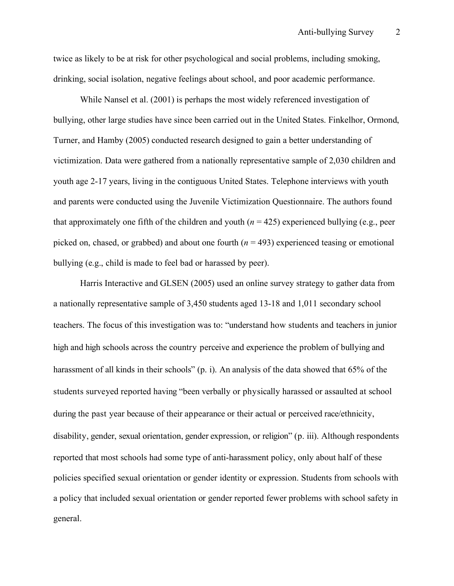twice as likely to be at risk for other psychological and social problems, including smoking, drinking, social isolation, negative feelings about school, and poor academic performance.

While Nansel et al. (2001) is perhaps the most widely referenced investigation of bullying, other large studies have since been carried out in the United States. Finkelhor, Ormond, Turner, and Hamby (2005) conducted research designed to gain a better understanding of victimization. Data were gathered from a nationally representative sample of 2,030 children and youth age 2-17 years, living in the contiguous United States. Telephone interviews with youth and parents were conducted using the Juvenile Victimization Questionnaire. The authors found that approximately one fifth of the children and youth  $(n = 425)$  experienced bullying (e.g., peer picked on, chased, or grabbed) and about one fourth  $(n = 493)$  experienced teasing or emotional bullying (e.g., child is made to feel bad or harassed by peer).

Harris Interactive and GLSEN (2005) used an online survey strategy to gather data from a nationally representative sample of 3,450 students aged 13-18 and 1,011 secondary school teachers. The focus of this investigation was to: "understand how students and teachers in junior high and high schools across the country perceive and experience the problem of bullying and harassment of all kinds in their schools" (p. i). An analysis of the data showed that 65% of the students surveyed reported having "been verbally or physically harassed or assaulted at school during the past year because of their appearance or their actual or perceived race/ethnicity, disability, gender, sexual orientation, gender expression, or religion" (p. iii). Although respondents reported that most schools had some type of anti-harassment policy, only about half of these policies specified sexual orientation or gender identity or expression. Students from schools with a policy that included sexual orientation or gender reported fewer problems with school safety in general.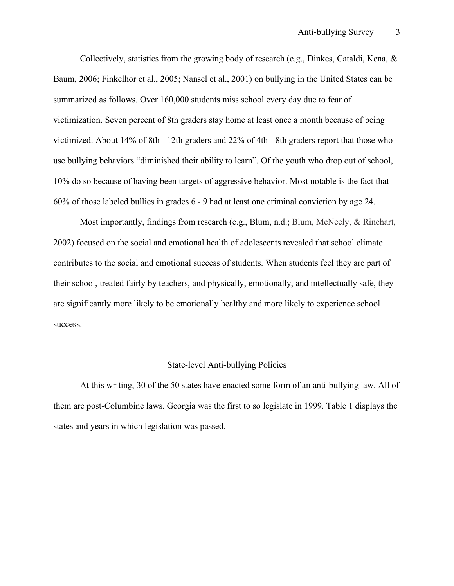Collectively, statistics from the growing body of research (e.g., Dinkes, Cataldi, Kena, & Baum, 2006; Finkelhor et al., 2005; Nansel et al., 2001) on bullying in the United States can be summarized as follows. Over 160,000 students miss school every day due to fear of victimization. Seven percent of 8th graders stay home at least once a month because of being victimized. About 14% of 8th - 12th graders and 22% of 4th - 8th graders report that those who use bullying behaviors "diminished their ability to learn". Of the youth who drop out of school, 10% do so because of having been targets of aggressive behavior. Most notable is the fact that 60% of those labeled bullies in grades 6 - 9 had at least one criminal conviction by age 24.

Most importantly, findings from research (e.g., Blum, n.d.; Blum, McNeely, & Rinehart, 2002) focused on the social and emotional health of adolescents revealed that school climate contributes to the social and emotional success of students. When students feel they are part of their school, treated fairly by teachers, and physically, emotionally, and intellectually safe, they are significantly more likely to be emotionally healthy and more likely to experience school success.

#### State-level Anti-bullying Policies

At this writing, 30 of the 50 states have enacted some form of an anti-bullying law. All of them are post-Columbine laws. Georgia was the first to so legislate in 1999. Table 1 displays the states and years in which legislation was passed.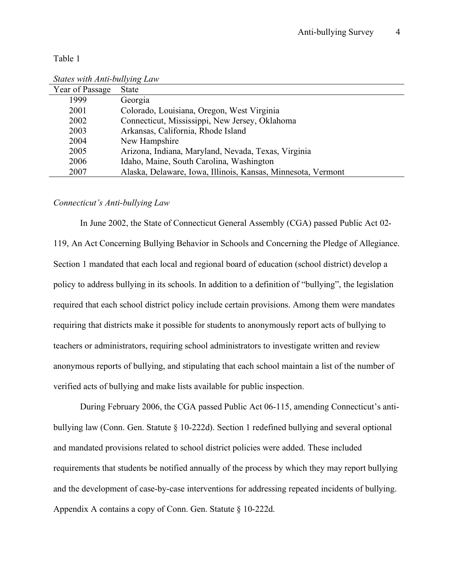Table 1

| States with Anti-bullying Law |                                                              |
|-------------------------------|--------------------------------------------------------------|
| Year of Passage               | <b>State</b>                                                 |
| 1999                          | Georgia                                                      |
| 2001                          | Colorado, Louisiana, Oregon, West Virginia                   |
| 2002                          | Connecticut, Mississippi, New Jersey, Oklahoma               |
| 2003                          | Arkansas, California, Rhode Island                           |
| 2004                          | New Hampshire                                                |
| 2005                          | Arizona, Indiana, Maryland, Nevada, Texas, Virginia          |
| 2006                          | Idaho, Maine, South Carolina, Washington                     |
| 2007                          | Alaska, Delaware, Iowa, Illinois, Kansas, Minnesota, Vermont |

*States with Anti-bullying Law*

#### *Connecticut's Anti-bullying Law*

In June 2002, the State of Connecticut General Assembly (CGA) passed Public Act 02- 119, An Act Concerning Bullying Behavior in Schools and Concerning the Pledge of Allegiance. Section 1 mandated that each local and regional board of education (school district) develop a policy to address bullying in its schools. In addition to a definition of "bullying", the legislation required that each school district policy include certain provisions. Among them were mandates requiring that districts make it possible for students to anonymously report acts of bullying to teachers or administrators, requiring school administrators to investigate written and review anonymous reports of bullying, and stipulating that each school maintain a list of the number of verified acts of bullying and make lists available for public inspection.

During February 2006, the CGA passed Public Act 06-115, amending Connecticut's antibullying law (Conn. Gen. Statute § 10-222d). Section 1 redefined bullying and several optional and mandated provisions related to school district policies were added. These included requirements that students be notified annually of the process by which they may report bullying and the development of case-by-case interventions for addressing repeated incidents of bullying. Appendix A contains a copy of Conn. Gen. Statute § 10-222d.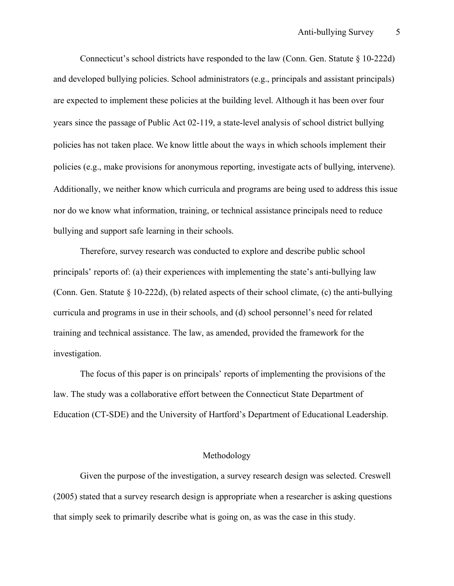Connecticut's school districts have responded to the law (Conn. Gen. Statute § 10-222d) and developed bullying policies. School administrators (e.g., principals and assistant principals) are expected to implement these policies at the building level. Although it has been over four years since the passage of Public Act 02-119, a state-level analysis of school district bullying policies has not taken place. We know little about the ways in which schools implement their policies (e.g., make provisions for anonymous reporting, investigate acts of bullying, intervene). Additionally, we neither know which curricula and programs are being used to address this issue nor do we know what information, training, or technical assistance principals need to reduce bullying and support safe learning in their schools.

Therefore, survey research was conducted to explore and describe public school principals' reports of: (a) their experiences with implementing the state's anti-bullying law (Conn. Gen. Statute  $\S 10-222d$ ), (b) related aspects of their school climate, (c) the anti-bullying curricula and programs in use in their schools, and (d) school personnel's need for related training and technical assistance. The law, as amended, provided the framework for the investigation.

The focus of this paper is on principals' reports of implementing the provisions of the law. The study was a collaborative effort between the Connecticut State Department of Education (CT-SDE) and the University of Hartford's Department of Educational Leadership.

### Methodology

Given the purpose of the investigation, a survey research design was selected. Creswell (2005) stated that a survey research design is appropriate when a researcher is asking questions that simply seek to primarily describe what is going on, as was the case in this study.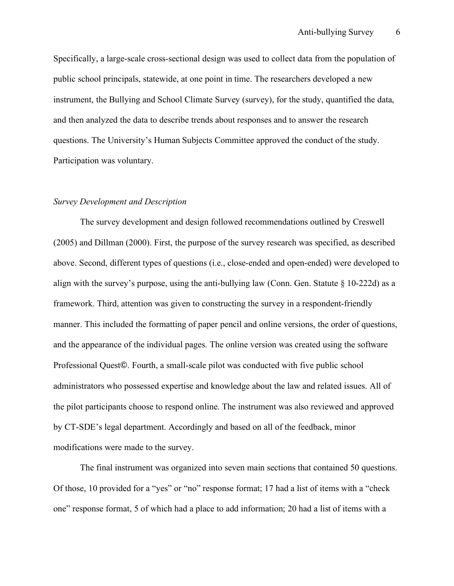Specifically, a large-scale cross-sectional design was used to collect data from the population of public school principals, statewide, at one point in time. The researchers developed a new instrument, the Bullying and School Climate Survey (survey), for the study, quantified the data, and then analyzed the data to describe trends about responses and to answer the research questions. The University's Human Subjects Committee approved the conduct of the study. Participation was voluntary.

#### *Survey Development and Description*

The survey development and design followed recommendations outlined by Creswell (2005) and Dillman (2000). First, the purpose of the survey research was specified, as described above. Second, different types of questions (i.e., close-ended and open-ended) were developed to align with the survey's purpose, using the anti-bullying law (Conn. Gen. Statute  $\S$  10-222d) as a framework. Third, attention was given to constructing the survey in a respondent-friendly manner. This included the formatting of paper pencil and online versions, the order of questions, and the appearance of the individual pages. The online version was created using the software Professional Quest©. Fourth, a small-scale pilot was conducted with five public school administrators who possessed expertise and knowledge about the law and related issues. All of the pilot participants choose to respond online. The instrument was also reviewed and approved by CT-SDE's legal department. Accordingly and based on all of the feedback, minor modifications were made to the survey.

The final instrument was organized into seven main sections that contained 50 questions. Of those, 10 provided for a "yes" or "no" response format; 17 had a list of items with a "check one" response format, 5 of which had a place to add information; 20 had a list of items with a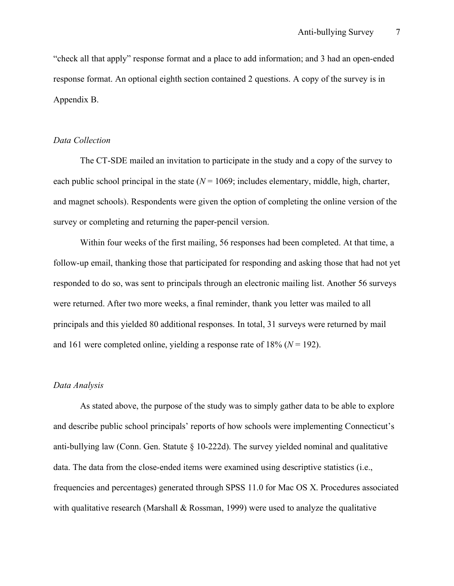"check all that apply" response format and a place to add information; and 3 had an open-ended response format. An optional eighth section contained 2 questions. A copy of the survey is in Appendix B.

#### *Data Collection*

The CT-SDE mailed an invitation to participate in the study and a copy of the survey to each public school principal in the state  $(N = 1069)$ ; includes elementary, middle, high, charter, and magnet schools). Respondents were given the option of completing the online version of the survey or completing and returning the paper-pencil version.

Within four weeks of the first mailing, 56 responses had been completed. At that time, a follow-up email, thanking those that participated for responding and asking those that had not yet responded to do so, was sent to principals through an electronic mailing list. Another 56 surveys were returned. After two more weeks, a final reminder, thank you letter was mailed to all principals and this yielded 80 additional responses. In total, 31 surveys were returned by mail and 161 were completed online, yielding a response rate of  $18\%$  ( $N = 192$ ).

#### *Data Analysis*

As stated above, the purpose of the study was to simply gather data to be able to explore and describe public school principals' reports of how schools were implementing Connecticut's anti-bullying law (Conn. Gen. Statute § 10-222d). The survey yielded nominal and qualitative data. The data from the close-ended items were examined using descriptive statistics (i.e., frequencies and percentages) generated through SPSS 11.0 for Mac OS X. Procedures associated with qualitative research (Marshall  $& Rossman, 1999$ ) were used to analyze the qualitative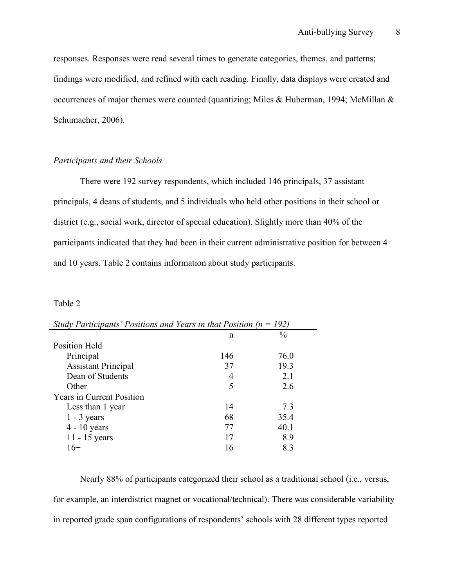responses. Responses were read several times to generate categories, themes, and patterns; findings were modified, and refined with each reading. Finally, data displays were created and occurrences of major themes were counted (quantizing; Miles & Huberman, 1994; McMillan  $\&$ Schumacher, 2006).

### *Participants and their Schools*

There were 192 survey respondents, which included 146 principals, 37 assistant principals, 4 deans of students, and 5 individuals who held other positions in their school or district (e.g., social work, director of special education). Slightly more than 40% of the participants indicated that they had been in their current administrative position for between 4 and 10 years. Table 2 contains information about study participants.

#### Table 2

| shay I ann panis T oshtons and Tears in that I oshton in |     | 1 <i>1 4</i> 1 |  |
|----------------------------------------------------------|-----|----------------|--|
|                                                          | n   | $\frac{0}{0}$  |  |
| Position Held                                            |     |                |  |
| Principal                                                | 146 | 76.0           |  |
| <b>Assistant Principal</b>                               | 37  | 19.3           |  |
| Dean of Students                                         |     | 2.1            |  |
| Other                                                    |     | 2.6            |  |
| <b>Years in Current Position</b>                         |     |                |  |
| Less than 1 year                                         | 14  | 7.3            |  |
| $1 - 3$ years                                            | 68  | 35.4           |  |
| $4 - 10$ years                                           | 77  | 40.1           |  |
| $11 - 15$ years                                          | 17  | 8.9            |  |
| $16+$                                                    | 16  | 8.3            |  |

*Study Participants' Positions and Years in that Position (n = 192)*

Nearly 88% of participants categorized their school as a traditional school (i.e., versus, for example, an interdistrict magnet or vocational/technical). There was considerable variability in reported grade span configurations of respondents' schools with 28 different types reported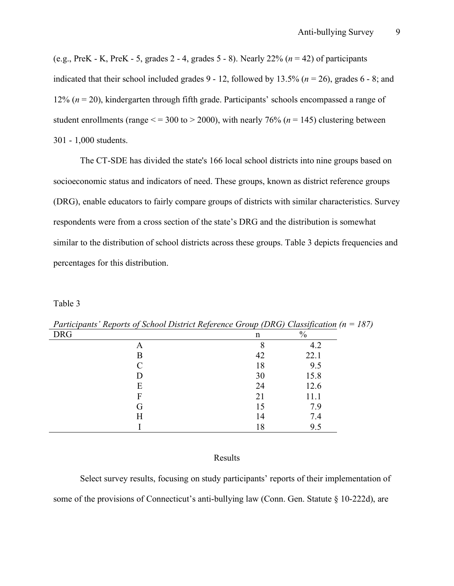(e.g., PreK - K, PreK - 5, grades 2 - 4, grades 5 - 8). Nearly 22% (*n* = 42) of participants indicated that their school included grades 9 - 12, followed by 13.5% (*n* = 26), grades 6 - 8; and 12% (*n* = 20), kindergarten through fifth grade. Participants' schools encompassed a range of student enrollments (range  $\le$  = 300 to > 2000), with nearly 76% ( $n = 145$ ) clustering between 301 - 1,000 students.

The CT-SDE has divided the state's 166 local school districts into nine groups based on socioeconomic status and indicators of need. These groups, known as district reference groups (DRG), enable educators to fairly compare groups of districts with similar characteristics. Survey respondents were from a cross section of the state's DRG and the distribution is somewhat similar to the distribution of school districts across these groups. Table 3 depicts frequencies and percentages for this distribution.

Table 3

| n  | $\frac{0}{0}$ |
|----|---------------|
|    | 4.2           |
| 42 | 22.1          |
| 18 | 9.5           |
| 30 | 15.8          |
| 24 | 12.6          |
| 21 | 11.1          |
| 15 | 7.9           |
| 14 | 7.4           |
| 18 | 9.5           |
|    |               |

*Participants' Reports of School District Reference Group (DRG) Classification (n = 187)*

#### Results

Select survey results, focusing on study participants' reports of their implementation of some of the provisions of Connecticut's anti-bullying law (Conn. Gen. Statute § 10-222d), are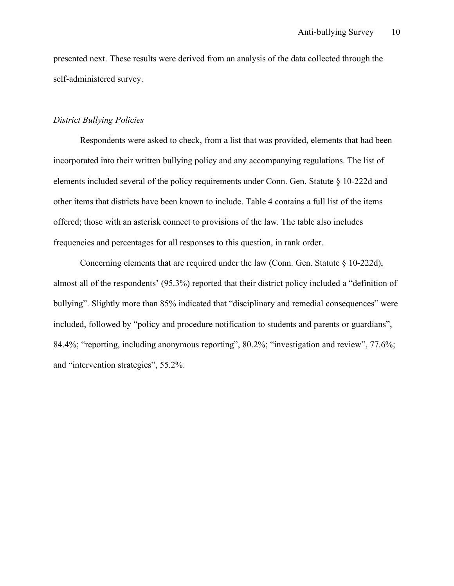presented next. These results were derived from an analysis of the data collected through the self-administered survey.

#### *District Bullying Policies*

Respondents were asked to check, from a list that was provided, elements that had been incorporated into their written bullying policy and any accompanying regulations. The list of elements included several of the policy requirements under Conn. Gen. Statute § 10-222d and other items that districts have been known to include. Table 4 contains a full list of the items offered; those with an asterisk connect to provisions of the law. The table also includes frequencies and percentages for all responses to this question, in rank order.

Concerning elements that are required under the law (Conn. Gen. Statute  $\S$  10-222d), almost all of the respondents' (95.3%) reported that their district policy included a "definition of bullying". Slightly more than 85% indicated that "disciplinary and remedial consequences" were included, followed by "policy and procedure notification to students and parents or guardians", 84.4%; "reporting, including anonymous reporting", 80.2%; "investigation and review", 77.6%; and "intervention strategies", 55.2%.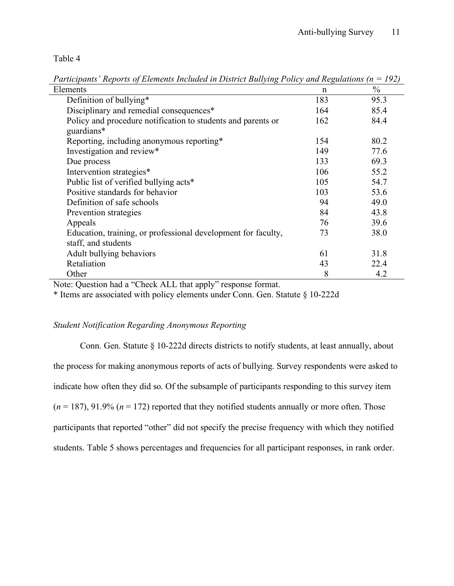Table 4

 $\mu$  Elements n  $\frac{9}{6}$ Definition of bullying\* 183 95.3 Disciplinary and remedial consequences<sup>\*</sup> 164 85.4 Policy and procedure notification to students and parents or guardians\* 162 84.4 Reporting, including anonymous reporting  $154$  80.2 Investigation and review\* 149 77.6 Due process and the process of  $133$  69.3 Intervention strategies\* 106 55.2 Public list of verified bullying acts<sup>\*</sup> 105 54.7 Positive standards for behavior 103 53.6 Definition of safe schools and the set of same schools and the set of set of  $\frac{94}{49.0}$ Prevention strategies 84 43.8 Appeals 39.6 Education, training, or professional development for faculty, staff, and students 73 38.0 Adult bullying behaviors 61 31.8 Retaliation 43 22.4 Other 8 4.2

*Participants' Reports of Elements Included in District Bullying Policy and Regulations (n = 192)*

Note: Question had a "Check ALL that apply" response format.

\* Items are associated with policy elements under Conn. Gen. Statute § 10-222d

### *Student Notification Regarding Anonymous Reporting*

Conn. Gen. Statute § 10-222d directs districts to notify students, at least annually, about the process for making anonymous reports of acts of bullying. Survey respondents were asked to indicate how often they did so. Of the subsample of participants responding to this survey item  $(n = 187)$ , 91.9%  $(n = 172)$  reported that they notified students annually or more often. Those participants that reported "other" did not specify the precise frequency with which they notified students. Table 5 shows percentages and frequencies for all participant responses, in rank order.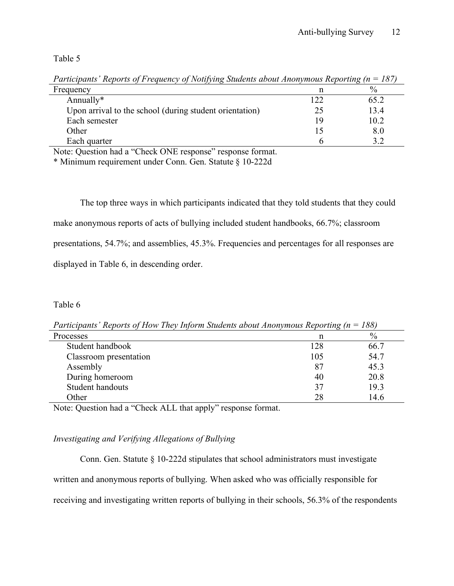Table 5

| $\sim$ . $\sim$ , $\sim$ , $\sim$ , $\sim$ , $\sim$ , $\sim$ , $\sim$ , $\sim$ , $\sim$ , $\sim$ , $\sim$ , $\sim$ , $\sim$ , $\sim$ , $\sim$ , $\sim$ , $\sim$ , $\sim$ , $\sim$ , $\sim$ , $\sim$ , $\sim$ , $\sim$ , $\sim$ , $\sim$ , $\sim$ , $\sim$ , $\sim$ , $\sim$ , $\sim$ , $\sim$ |     |      |
|-----------------------------------------------------------------------------------------------------------------------------------------------------------------------------------------------------------------------------------------------------------------------------------------------|-----|------|
| Frequency                                                                                                                                                                                                                                                                                     |     | $\%$ |
| Annually*                                                                                                                                                                                                                                                                                     | 122 | 65.2 |
| Upon arrival to the school (during student orientation)                                                                                                                                                                                                                                       | 25  | 13.4 |
| Each semester                                                                                                                                                                                                                                                                                 | 19  | 10.2 |
| Other                                                                                                                                                                                                                                                                                         |     | 8.0  |
| Each quarter                                                                                                                                                                                                                                                                                  |     |      |

*Participants' Reports of Frequency of Notifying Students about Anonymous Reporting (n = 187)*

Note: Question had a "Check ONE response" response format.

\* Minimum requirement under Conn. Gen. Statute § 10-222d

The top three ways in which participants indicated that they told students that they could make anonymous reports of acts of bullying included student handbooks, 66.7%; classroom presentations, 54.7%; and assemblies, 45.3%. Frequencies and percentages for all responses are displayed in Table 6, in descending order.

### Table 6

*Participants' Reports of How They Inform Students about Anonymous Reporting (n = 188)*

| Processes              | n   | $\%$ |
|------------------------|-----|------|
| Student handbook       | 128 | 66.7 |
| Classroom presentation | 105 | 54.7 |
| Assembly               | 87  | 45.3 |
| During homeroom        | 40  | 20.8 |
| Student handouts       | 37  | 19.3 |
| Other                  | 28  | 14.6 |

Note: Question had a "Check ALL that apply" response format.

## *Investigating and Verifying Allegations of Bullying*

Conn. Gen. Statute § 10-222d stipulates that school administrators must investigate

written and anonymous reports of bullying. When asked who was officially responsible for

receiving and investigating written reports of bullying in their schools, 56.3% of the respondents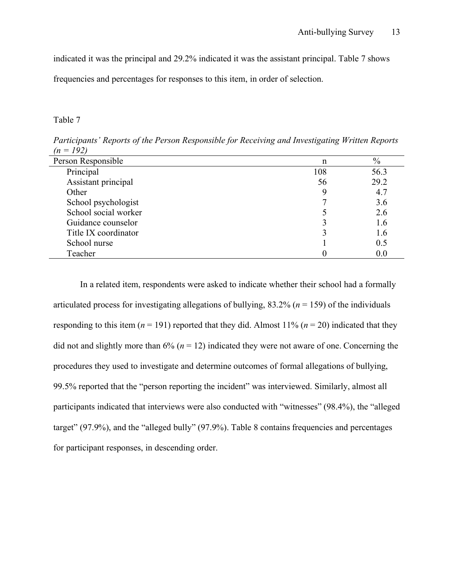indicated it was the principal and 29.2% indicated it was the assistant principal. Table 7 shows frequencies and percentages for responses to this item, in order of selection.

#### Table 7

| $\frac{1}{2}$ $\frac{1}{2}$ |     |      |
|-----------------------------|-----|------|
| Person Responsible          | n   | $\%$ |
| Principal                   | 108 | 56.3 |
| Assistant principal         | 56  | 29.2 |
| Other                       |     | 4.7  |
| School psychologist         |     | 3.6  |
| School social worker        |     | 2.6  |
| Guidance counselor          |     | 1.6  |
| Title IX coordinator        |     | 1.6  |
| School nurse                |     | 0.5  |
| Teacher                     |     | 0.0  |

*Participants' Reports of the Person Responsible for Receiving and Investigating Written Reports*   $(102)$ 

In a related item, respondents were asked to indicate whether their school had a formally articulated process for investigating allegations of bullying,  $83.2\%$  ( $n = 159$ ) of the individuals responding to this item  $(n = 191)$  reported that they did. Almost 11%  $(n = 20)$  indicated that they did not and slightly more than  $6\%$  ( $n = 12$ ) indicated they were not aware of one. Concerning the procedures they used to investigate and determine outcomes of formal allegations of bullying, 99.5% reported that the "person reporting the incident" was interviewed. Similarly, almost all participants indicated that interviews were also conducted with "witnesses" (98.4%), the "alleged target" (97.9%), and the "alleged bully" (97.9%). Table 8 contains frequencies and percentages for participant responses, in descending order.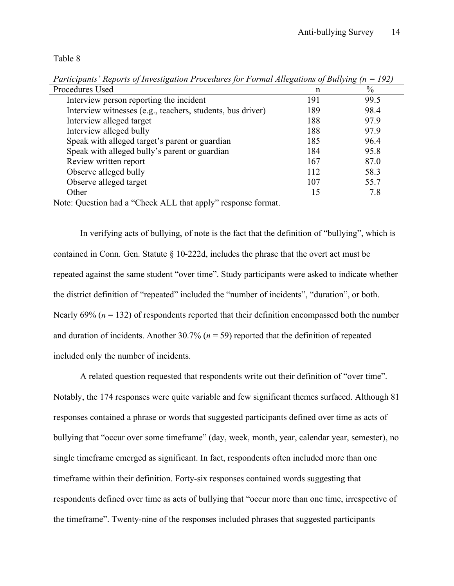Table 8

| Procedures Used                                            | n   | $\%$ |
|------------------------------------------------------------|-----|------|
| Interview person reporting the incident                    | 191 | 99.5 |
| Interview witnesses (e.g., teachers, students, bus driver) | 189 | 98.4 |
| Interview alleged target                                   | 188 | 97.9 |
| Interview alleged bully                                    | 188 | 97.9 |
| Speak with alleged target's parent or guardian             | 185 | 96.4 |
| Speak with alleged bully's parent or guardian              | 184 | 95.8 |
| Review written report                                      | 167 | 87.0 |
| Observe alleged bully                                      | 112 | 58.3 |
| Observe alleged target                                     | 107 | 55.7 |
| Other                                                      | 15  | 7.8  |

*Participants' Reports of Investigation Procedures for Formal Allegations of Bullying (n = 192)*

Note: Question had a "Check ALL that apply" response format.

In verifying acts of bullying, of note is the fact that the definition of "bullying", which is contained in Conn. Gen. Statute § 10-222d, includes the phrase that the overt act must be repeated against the same student "over time". Study participants were asked to indicate whether the district definition of "repeated" included the "number of incidents", "duration", or both. Nearly 69% (*n* = 132) of respondents reported that their definition encompassed both the number and duration of incidents. Another  $30.7\%$  ( $n = 59$ ) reported that the definition of repeated included only the number of incidents.

A related question requested that respondents write out their definition of "over time". Notably, the 174 responses were quite variable and few significant themes surfaced. Although 81 responses contained a phrase or words that suggested participants defined over time as acts of bullying that "occur over some timeframe" (day, week, month, year, calendar year, semester), no single timeframe emerged as significant. In fact, respondents often included more than one timeframe within their definition. Forty-six responses contained words suggesting that respondents defined over time as acts of bullying that "occur more than one time, irrespective of the timeframe". Twenty-nine of the responses included phrases that suggested participants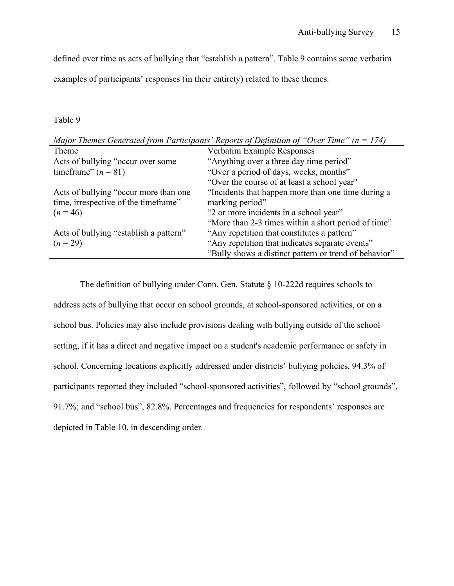defined over time as acts of bullying that "establish a pattern". Table 9 contains some verbatim

examples of participants' responses (in their entirety) related to these themes.

### Table 9

| Major Themes Generated from Participants Reports of Definition of Over Time | $n = 1/41$                                            |
|-----------------------------------------------------------------------------|-------------------------------------------------------|
| Theme                                                                       | Verbatim Example Responses                            |
| Acts of bullying "occur over some                                           | "Anything over a three day time period"               |
| timeframe" $(n = 81)$                                                       | "Over a period of days, weeks, months"                |
|                                                                             | "Over the course of at least a school year"           |
| Acts of bullying "occur more than one                                       | "Incidents that happen more than one time during a    |
| time, irrespective of the timeframe"                                        | marking period"                                       |
| $(n = 46)$                                                                  | "2 or more incidents in a school year"                |
|                                                                             | "More than 2-3 times within a short period of time"   |
| Acts of bullying "establish a pattern"                                      | "Any repetition that constitutes a pattern"           |
| $(n = 29)$                                                                  | "Any repetition that indicates separate events"       |
|                                                                             | "Bully shows a distinct pattern or trend of behavior" |
|                                                                             |                                                       |

*Major Themes Generated from Participants' Reports of Definition of "Over Time" (n = 174)*

The definition of bullying under Conn. Gen. Statute § 10-222d requires schools to address acts of bullying that occur on school grounds, at school-sponsored activities, or on a school bus. Policies may also include provisions dealing with bullying outside of the school setting, if it has a direct and negative impact on a student's academic performance or safety in school. Concerning locations explicitly addressed under districts' bullying policies, 94.3% of participants reported they included "school-sponsored activities", followed by "school grounds", 91.7%; and "school bus", 82.8%. Percentages and frequencies for respondents' responses are depicted in Table 10, in descending order.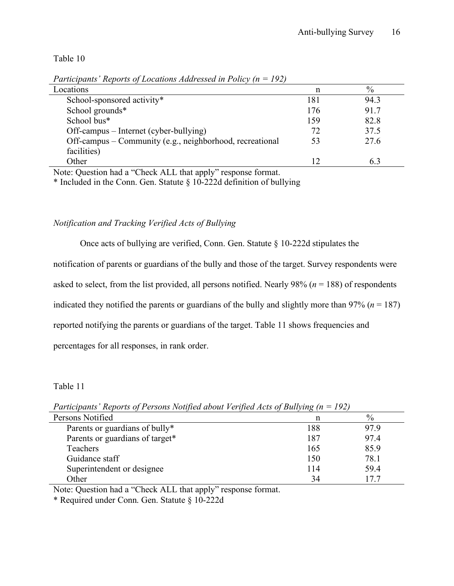Table 10

| Locations                                                | n   | $\%$ |
|----------------------------------------------------------|-----|------|
| School-sponsored activity*                               | 181 | 94.3 |
| School grounds*                                          | 176 | 91.7 |
| School bus*                                              | 159 | 82.8 |
| Off-campus – Internet (cyber-bullying)                   | 72  | 37.5 |
| Off-campus – Community (e.g., neighborhood, recreational | 53  | 27.6 |
| facilities)                                              |     |      |
| Other                                                    | 12  | 6.3  |
|                                                          |     |      |

*Participants' Reports of Locations Addressed in Policy (n = 192)*

Note: Question had a "Check ALL that apply" response format.

\* Included in the Conn. Gen. Statute § 10-222d definition of bullying

### *Notification and Tracking Verified Acts of Bullying*

Once acts of bullying are verified, Conn. Gen. Statute § 10-222d stipulates the

notification of parents or guardians of the bully and those of the target. Survey respondents were

asked to select, from the list provided, all persons notified. Nearly 98% (*n* = 188) of respondents

indicated they notified the parents or guardians of the bully and slightly more than  $97\%$  ( $n = 187$ )

reported notifying the parents or guardians of the target. Table 11 shows frequencies and

percentages for all responses, in rank order.

Table 11

| T articipants - Reports of T ersons ivolified doom verified Acts of Bullying $(n - 192)$ |     |               |  |
|------------------------------------------------------------------------------------------|-----|---------------|--|
| Persons Notified                                                                         | n   | $\frac{0}{0}$ |  |
| Parents or guardians of bully*                                                           | 188 | 97.9          |  |
| Parents or guardians of target*                                                          | 187 | 97.4          |  |
| Teachers                                                                                 | 165 | 85.9          |  |
| Guidance staff                                                                           | 150 | 78.1          |  |
| Superintendent or designee                                                               | 114 | 59.4          |  |
| Other                                                                                    | 34  | 177           |  |
|                                                                                          |     |               |  |

*Participants' Reports of Persons Notified about Verified Acts of Bullying (n = 192)*

Note: Question had a "Check ALL that apply" response format.

\* Required under Conn. Gen. Statute § 10-222d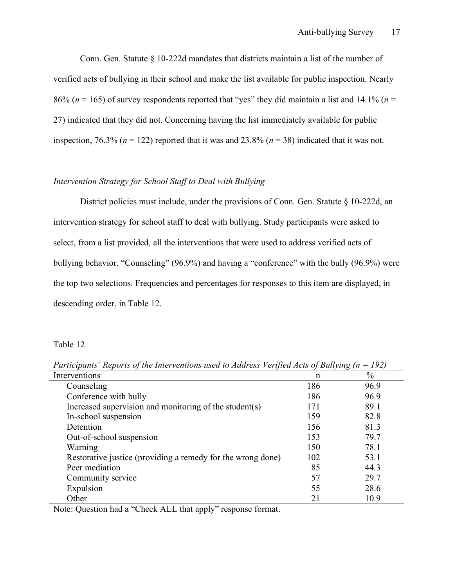Conn. Gen. Statute § 10-222d mandates that districts maintain a list of the number of verified acts of bullying in their school and make the list available for public inspection. Nearly 86% ( $n = 165$ ) of survey respondents reported that "ves" they did maintain a list and 14.1% ( $n =$ 27) indicated that they did not. Concerning having the list immediately available for public inspection, 76.3% ( $n = 122$ ) reported that it was and 23.8% ( $n = 38$ ) indicated that it was not.

### *Intervention Strategy for School Staff to Deal with Bullying*

District policies must include, under the provisions of Conn. Gen. Statute § 10-222d, an intervention strategy for school staff to deal with bullying. Study participants were asked to select, from a list provided, all the interventions that were used to address verified acts of bullying behavior. "Counseling" (96.9%) and having a "conference" with the bully (96.9%) were the top two selections. Frequencies and percentages for responses to this item are displayed, in descending order, in Table 12.

Table 12

*Participants' Reports of the Interventions used to Address Verified Acts of Bullying (n = 192)*

| Interventions                                               | n   | $\frac{0}{0}$ |
|-------------------------------------------------------------|-----|---------------|
| Counseling                                                  | 186 | 96.9          |
| Conference with bully                                       | 186 | 96.9          |
| Increased supervision and monitoring of the student(s)      | 171 | 89.1          |
| In-school suspension                                        | 159 | 82.8          |
| Detention                                                   | 156 | 81.3          |
| Out-of-school suspension                                    | 153 | 79.7          |
| Warning                                                     | 150 | 78.1          |
| Restorative justice (providing a remedy for the wrong done) | 102 | 53.1          |
| Peer mediation                                              | 85  | 44.3          |
| Community service                                           | 57  | 29.7          |
| Expulsion                                                   | 55  | 28.6          |
| Other                                                       | 21  | 10.9          |

Note: Question had a "Check ALL that apply" response format.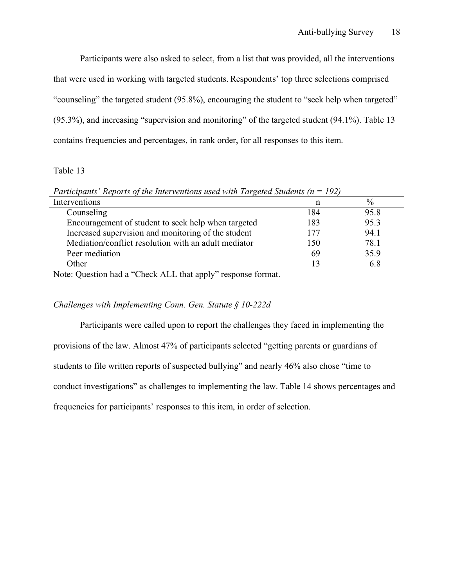Participants were also asked to select, from a list that was provided, all the interventions that were used in working with targeted students. Respondents' top three selections comprised "counseling" the targeted student (95.8%), encouraging the student to "seek help when targeted" (95.3%), and increasing "supervision and monitoring" of the targeted student (94.1%). Table 13 contains frequencies and percentages, in rank order, for all responses to this item.

### Table 13

| $\cdots$ $\cdots$ $\cdots$ $\cdots$ $\cdots$ $\cdots$ $\cdots$ $\cdots$ $\cdots$ $\cdots$ $\cdots$ $\cdots$ $\cdots$ $\cdots$ |     |               |
|-------------------------------------------------------------------------------------------------------------------------------|-----|---------------|
| Interventions                                                                                                                 | n   | $\frac{0}{0}$ |
| Counseling                                                                                                                    | 184 | 95.8          |
| Encouragement of student to seek help when targeted                                                                           | 183 | 95.3          |
| Increased supervision and monitoring of the student                                                                           | 177 | 94.1          |
| Mediation/conflict resolution with an adult mediator                                                                          | 150 | 78.1          |
| Peer mediation                                                                                                                | 69  | 35.9          |
| Other                                                                                                                         | 13  | 6.8           |
|                                                                                                                               |     |               |

*Participants' Reports of the Interventions used with Targeted Students (n = 192)*

Note: Question had a "Check ALL that apply" response format.

### *Challenges with Implementing Conn. Gen. Statute § 10-222d*

Participants were called upon to report the challenges they faced in implementing the provisions of the law. Almost 47% of participants selected "getting parents or guardians of students to file written reports of suspected bullying" and nearly 46% also chose "time to conduct investigations" as challenges to implementing the law. Table 14 shows percentages and frequencies for participants' responses to this item, in order of selection.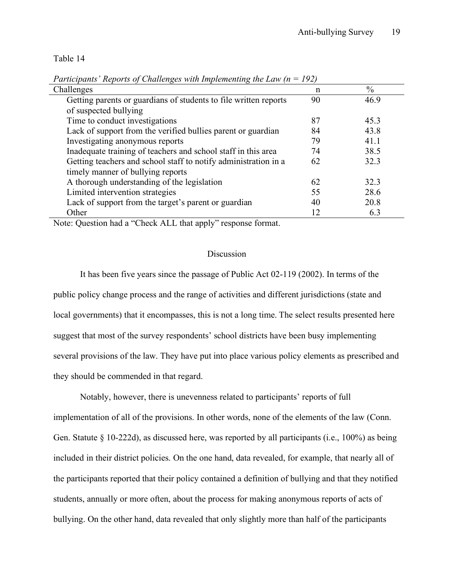Table 14

| I annopanis Reports of Chanenges with implementing the Law (h<br>1/21 |    |               |  |  |  |  |
|-----------------------------------------------------------------------|----|---------------|--|--|--|--|
| Challenges                                                            |    | $\frac{0}{0}$ |  |  |  |  |
| Getting parents or guardians of students to file written reports      | 90 | 46.9          |  |  |  |  |
| of suspected bullying                                                 |    |               |  |  |  |  |
| Time to conduct investigations                                        | 87 | 45.3          |  |  |  |  |
| Lack of support from the verified bullies parent or guardian          | 84 | 43.8          |  |  |  |  |
| Investigating anonymous reports                                       | 79 | 41.1          |  |  |  |  |
| Inadequate training of teachers and school staff in this area         | 74 | 38.5          |  |  |  |  |
| Getting teachers and school staff to notify administration in a       | 62 | 32.3          |  |  |  |  |
| timely manner of bullying reports                                     |    |               |  |  |  |  |
| A thorough understanding of the legislation                           | 62 | 32.3          |  |  |  |  |
| Limited intervention strategies                                       | 55 | 28.6          |  |  |  |  |
| Lack of support from the target's parent or guardian                  | 40 | 20.8          |  |  |  |  |
| Other                                                                 | 12 | 6.3           |  |  |  |  |

*Participants' Reports of Challenges with Implementing the Law (n = 192)*

Note: Question had a "Check ALL that apply" response format.

#### Discussion

It has been five years since the passage of Public Act 02-119 (2002). In terms of the public policy change process and the range of activities and different jurisdictions (state and local governments) that it encompasses, this is not a long time. The select results presented here suggest that most of the survey respondents' school districts have been busy implementing several provisions of the law. They have put into place various policy elements as prescribed and they should be commended in that regard.

Notably, however, there is unevenness related to participants' reports of full implementation of all of the provisions. In other words, none of the elements of the law (Conn. Gen. Statute § 10-222d), as discussed here, was reported by all participants (i.e., 100%) as being included in their district policies. On the one hand, data revealed, for example, that nearly all of the participants reported that their policy contained a definition of bullying and that they notified students, annually or more often, about the process for making anonymous reports of acts of bullying. On the other hand, data revealed that only slightly more than half of the participants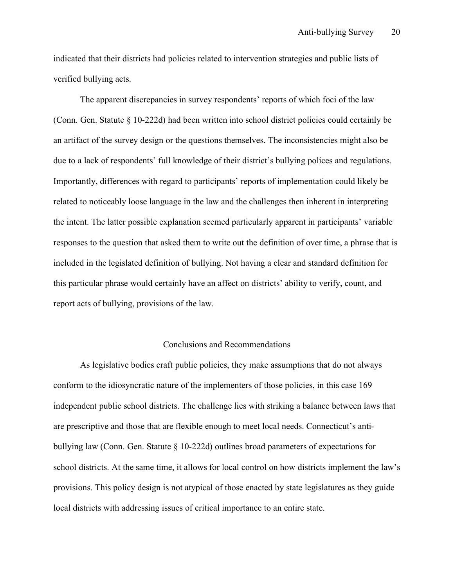indicated that their districts had policies related to intervention strategies and public lists of verified bullying acts.

The apparent discrepancies in survey respondents' reports of which foci of the law (Conn. Gen. Statute § 10-222d) had been written into school district policies could certainly be an artifact of the survey design or the questions themselves. The inconsistencies might also be due to a lack of respondents' full knowledge of their district's bullying polices and regulations. Importantly, differences with regard to participants' reports of implementation could likely be related to noticeably loose language in the law and the challenges then inherent in interpreting the intent. The latter possible explanation seemed particularly apparent in participants' variable responses to the question that asked them to write out the definition of over time, a phrase that is included in the legislated definition of bullying. Not having a clear and standard definition for this particular phrase would certainly have an affect on districts' ability to verify, count, and report acts of bullying, provisions of the law.

#### Conclusions and Recommendations

As legislative bodies craft public policies, they make assumptions that do not always conform to the idiosyncratic nature of the implementers of those policies, in this case 169 independent public school districts. The challenge lies with striking a balance between laws that are prescriptive and those that are flexible enough to meet local needs. Connecticut's antibullying law (Conn. Gen. Statute § 10-222d) outlines broad parameters of expectations for school districts. At the same time, it allows for local control on how districts implement the law's provisions. This policy design is not atypical of those enacted by state legislatures as they guide local districts with addressing issues of critical importance to an entire state.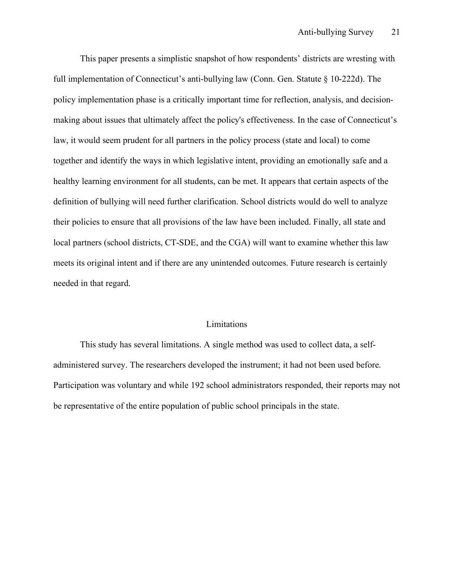This paper presents a simplistic snapshot of how respondents' districts are wresting with full implementation of Connecticut's anti-bullying law (Conn. Gen. Statute § 10-222d). The policy implementation phase is a critically important time for reflection, analysis, and decisionmaking about issues that ultimately affect the policy's effectiveness. In the case of Connecticut's law, it would seem prudent for all partners in the policy process (state and local) to come together and identify the ways in which legislative intent, providing an emotionally safe and a healthy learning environment for all students, can be met. It appears that certain aspects of the definition of bullying will need further clarification. School districts would do well to analyze their policies to ensure that all provisions of the law have been included. Finally, all state and local partners (school districts, CT-SDE, and the CGA) will want to examine whether this law meets its original intent and if there are any unintended outcomes. Future research is certainly needed in that regard.

#### Limitations

This study has several limitations. A single method was used to collect data, a selfadministered survey. The researchers developed the instrument; it had not been used before. Participation was voluntary and while 192 school administrators responded, their reports may not be representative of the entire population of public school principals in the state.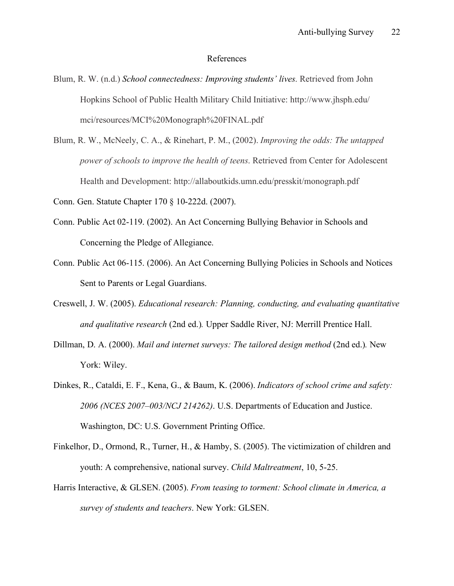#### References

- Blum, R. W. (n.d.) *School connectedness: Improving students' lives*. Retrieved from John Hopkins School of Public Health Military Child Initiative: http://www.jhsph.edu/ mci/resources/MCI%20Monograph%20FINAL.pdf
- Blum, R. W., McNeely, C. A., & Rinehart, P. M., (2002). *Improving the odds: The untapped power of schools to improve the health of teens*. Retrieved from Center for Adolescent Health and Development: http://allaboutkids.umn.edu/presskit/monograph.pdf

Conn. Gen. Statute Chapter 170 § 10-222d. (2007).

- Conn. Public Act 02-119. (2002). An Act Concerning Bullying Behavior in Schools and Concerning the Pledge of Allegiance.
- Conn. Public Act 06-115. (2006). An Act Concerning Bullying Policies in Schools and Notices Sent to Parents or Legal Guardians.
- Creswell, J. W. (2005). *Educational research: Planning, conducting, and evaluating quantitative and qualitative research* (2nd ed.)*.* Upper Saddle River, NJ: Merrill Prentice Hall.
- Dillman, D. A. (2000). *Mail and internet surveys: The tailored design method* (2nd ed.). New York: Wiley.
- Dinkes, R., Cataldi, E. F., Kena, G., & Baum, K. (2006). *Indicators of school crime and safety: 2006 (NCES 2007–003/NCJ 214262)*. U.S. Departments of Education and Justice. Washington, DC: U.S. Government Printing Office.
- Finkelhor, D., Ormond, R., Turner, H., & Hamby, S. (2005). The victimization of children and youth: A comprehensive, national survey. *Child Maltreatment*, 10, 5-25.
- Harris Interactive, & GLSEN. (2005). *From teasing to torment: School climate in America, a survey of students and teachers*. New York: GLSEN.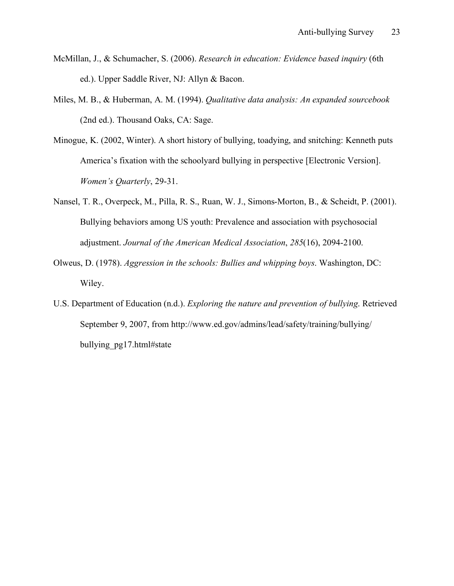- McMillan, J., & Schumacher, S. (2006). *Research in education: Evidence based inquiry* (6th ed.). Upper Saddle River, NJ: Allyn & Bacon.
- Miles, M. B., & Huberman, A. M. (1994). *Qualitative data analysis: An expanded sourcebook*  (2nd ed.). Thousand Oaks, CA: Sage.
- Minogue, K. (2002, Winter). A short history of bullying, toadying, and snitching: Kenneth puts America's fixation with the schoolyard bullying in perspective [Electronic Version]. *Women's Quarterly*, 29-31.
- Nansel, T. R., Overpeck, M., Pilla, R. S., Ruan, W. J., Simons-Morton, B., & Scheidt, P. (2001). Bullying behaviors among US youth: Prevalence and association with psychosocial adjustment. *Journal of the American Medical Association*, *285*(16), 2094-2100.
- Olweus, D. (1978). *Aggression in the schools: Bullies and whipping boys*. Washington, DC: Wiley.
- U.S. Department of Education (n.d.). *Exploring the nature and prevention of bullying*. Retrieved September 9, 2007, from http://www.ed.gov/admins/lead/safety/training/bullying/ bullying\_pg17.html#state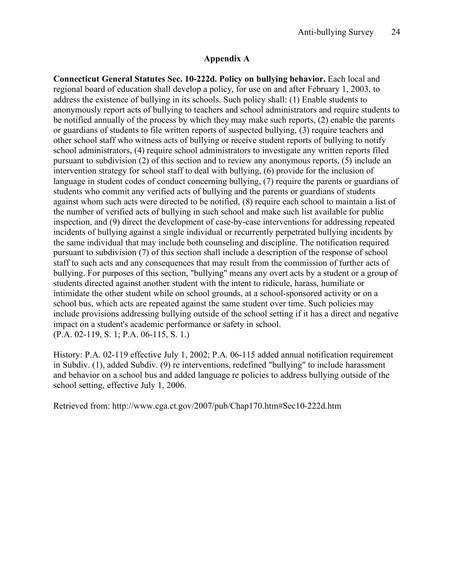### **Appendix A**

**Connecticut General Statutes Sec. 10-222d. Policy on bullying behavior.** Each local and regional board of education shall develop a policy, for use on and after February 1, 2003, to address the existence of bullying in its schools. Such policy shall: (1) Enable students to anonymously report acts of bullying to teachers and school administrators and require students to be notified annually of the process by which they may make such reports, (2) enable the parents or guardians of students to file written reports of suspected bullying, (3) require teachers and other school staff who witness acts of bullying or receive student reports of bullying to notify school administrators, (4) require school administrators to investigate any written reports filed pursuant to subdivision (2) of this section and to review any anonymous reports, (5) include an intervention strategy for school staff to deal with bullying, (6) provide for the inclusion of language in student codes of conduct concerning bullying, (7) require the parents or guardians of students who commit any verified acts of bullying and the parents or guardians of students against whom such acts were directed to be notified, (8) require each school to maintain a list of the number of verified acts of bullying in such school and make such list available for public inspection, and (9) direct the development of case-by-case interventions for addressing repeated incidents of bullying against a single individual or recurrently perpetrated bullying incidents by the same individual that may include both counseling and discipline. The notification required pursuant to subdivision (7) of this section shall include a description of the response of school staff to such acts and any consequences that may result from the commission of further acts of bullying. For purposes of this section, "bullying" means any overt acts by a student or a group of students directed against another student with the intent to ridicule, harass, humiliate or intimidate the other student while on school grounds, at a school-sponsored activity or on a school bus, which acts are repeated against the same student over time. Such policies may include provisions addressing bullying outside of the school setting if it has a direct and negative impact on a student's academic performance or safety in school. (P.A. 02-119, S. 1; P.A. 06-115, S. 1.)

History: P.A. 02-119 effective July 1, 2002; P.A. 06-115 added annual notification requirement in Subdiv. (1), added Subdiv. (9) re interventions, redefined "bullying" to include harassment and behavior on a school bus and added language re policies to address bullying outside of the school setting, effective July 1, 2006.

Retrieved from: http://www.cga.ct.gov/2007/pub/Chap170.htm#Sec10-222d.htm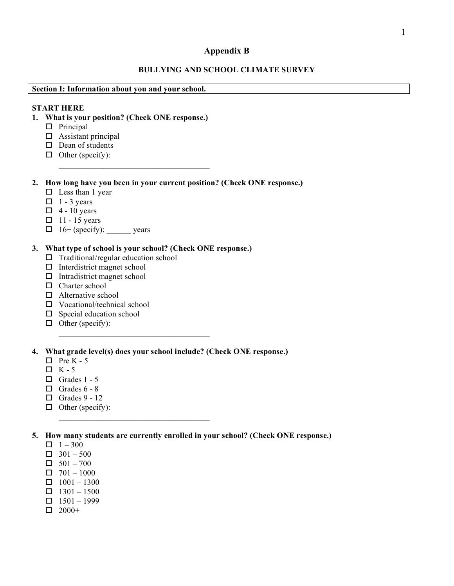## **Appendix B**

### **BULLYING AND SCHOOL CLIMATE SURVEY**

**Section I: Information about you and your school.**

|                             | <b>START HERE</b><br>1. What is your position? (Check ONE response.)<br>$\Box$ Principal<br>$\Box$ Assistant principal<br>$\Box$ Dean of students<br>$\Box$ Other (specify):                                                                                                                                                 |
|-----------------------------|------------------------------------------------------------------------------------------------------------------------------------------------------------------------------------------------------------------------------------------------------------------------------------------------------------------------------|
| $\Box$<br>$\Box$            | 2. How long have you been in your current position? (Check ONE response.)<br>$\Box$ Less than 1 year<br>$\Box$ 1 - 3 years<br>$\Box$ 4 - 10 years<br>$11 - 15$ years<br>$16+$ (specify): ________ years                                                                                                                      |
| 3.<br>ц<br>$\Box$<br>$\Box$ | What type of school is your school? (Check ONE response.)<br>Traditional/regular education school<br>Interdistrict magnet school<br>Intradistrict magnet school<br>$\Box$ Charter school<br>$\Box$ Alternative school<br>$\Box$ Vocational/technical school<br>$\square$ Special education school<br>$\Box$ Other (specify): |
| 4.                          | What grade level(s) does your school include? (Check ONE response.)<br>$\Box$ Pre K - 5<br>$\Box K - 5$<br>$\Box$ Grades 1 - 5<br>$\Box$ Grades 6 - 8<br>$\Box$ Grades 9 - 12<br>$\Box$ Other (specify):                                                                                                                     |

- $\Box$  1 300
- $\Box$  301 500
- $\Box$  501 700
- $\Box$  701 1000
- $\Box$  1001 1300
- $\Box$  1301 1500
- $\Box$  1501 1999
- $\Box$  2000+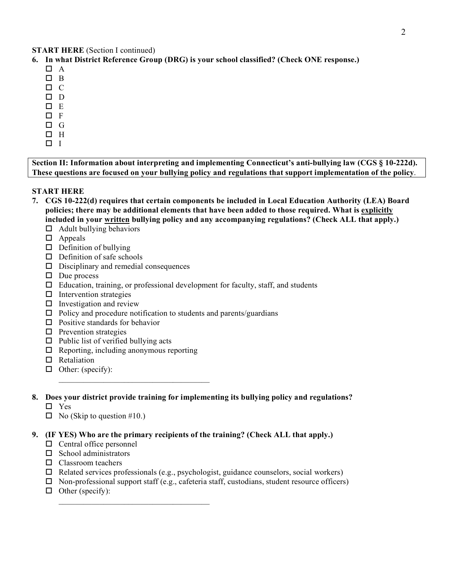**START HERE** (Section I continued)

- **6. In what District Reference Group (DRG) is your school classified? (Check ONE response.)**
	- $\Box$  A
	- $\square$  B
	- $\Box$  C
	- $\square$  D
	- $\square$  E
	- $\Box$  F
	- $\Box$  G
	- $\Box$  H
	- $\Box$  I

**Section II: Information about interpreting and implementing Connecticut's anti-bullying law (CGS § 10-222d). These questions are focused on your bullying policy and regulations that support implementation of the policy**.

#### **START HERE**

- **7. CGS 10-222(d) requires that certain components be included in Local Education Authority (LEA) Board policies; there may be additional elements that have been added to those required. What is explicitly included in your written bullying policy and any accompanying regulations? (Check ALL that apply.)**
	- $\Box$  Adult bullying behaviors
	- □ Appeals
	- $\Box$  Definition of bullying
	- $\Box$  Definition of safe schools
	- $\square$  Disciplinary and remedial consequences
	- $\Box$  Due process
	- $\Box$  Education, training, or professional development for faculty, staff, and students
	- $\Box$  Intervention strategies
	- $\square$  Investigation and review
	- $\Box$  Policy and procedure notification to students and parents/guardians
	- $\Box$  Positive standards for behavior
	- $\Box$  Prevention strategies
	- $\Box$  Public list of verified bullying acts
	- $\Box$  Reporting, including anonymous reporting

 $\mathcal{L}_\text{max} = \mathcal{L}_\text{max} = \mathcal{L}_\text{max} = \mathcal{L}_\text{max} = \mathcal{L}_\text{max}$ 

 $\mathcal{L}_\text{max} = \mathcal{L}_\text{max} = \mathcal{L}_\text{max} = \mathcal{L}_\text{max} = \mathcal{L}_\text{max}$ 

- $\Pi$  Retaliation
- $\Box$  Other: (specify):
- **8. Does your district provide training for implementing its bullying policy and regulations?**
	- □ Yes
	- $\Box$  No (Skip to question #10.)

#### **9. (IF YES) Who are the primary recipients of the training? (Check ALL that apply.)**

- $\Box$  Central office personnel
- $\Box$  School administrators
- $\Box$  Classroom teachers
- $\Box$  Related services professionals (e.g., psychologist, guidance counselors, social workers)
- $\Box$  Non-professional support staff (e.g., cafeteria staff, custodians, student resource officers)
- $\Box$  Other (specify):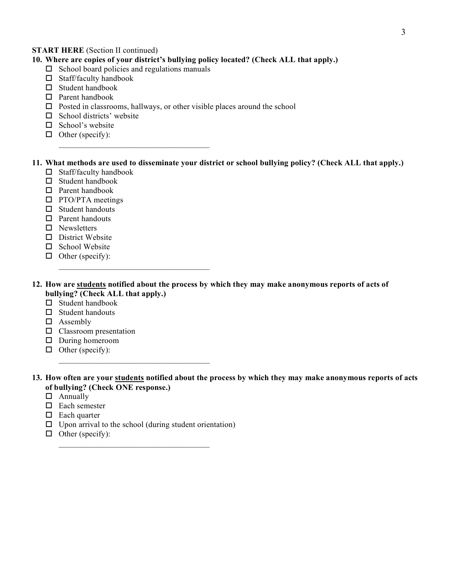#### **START HERE** *(Section II continued)*

### **10. Where are copies of your district's bullying policy located? (Check ALL that apply.)**

 $\square$  School board policies and regulations manuals

 $\mathcal{L}_\text{max} = \mathcal{L}_\text{max} = \mathcal{L}_\text{max} = \mathcal{L}_\text{max} = \mathcal{L}_\text{max}$ 

 $\mathcal{L}_\text{max} = \mathcal{L}_\text{max} = \mathcal{L}_\text{max} = \mathcal{L}_\text{max} = \mathcal{L}_\text{max}$ 

- $\Box$  Staff/faculty handbook
- $\Box$  Student handbook
- Parent handbook
- $\Box$  Posted in classrooms, hallways, or other visible places around the school
- $\Box$  School districts' website
- $\Box$  School's website
- $\Box$  Other (specify):

### **11. What methods are used to disseminate your district or school bullying policy? (Check ALL that apply.)**

- $\Box$  Staff/faculty handbook
- $\square$  Student handbook
- Parent handbook
- $\Box$  PTO/PTA meetings
- $\Box$  Student handouts
- $\Box$  Parent handouts
- $\square$  Newsletters
- $\square$  District Website
- $\Box$  School Website
- $\Box$  Other (specify):

#### **12. How are students notified about the process by which they may make anonymous reports of acts of bullying? (Check ALL that apply.)**

- $\square$  Student handbook
- $\Box$  Student handouts
- □ Assembly
- $\square$  Classroom presentation
- During homeroom
- $\Box$  Other (specify):

#### **13. How often are your students notified about the process by which they may make anonymous reports of acts of bullying? (Check ONE response.)**

- □ Annually
- $\Box$  Each semester
- $\Box$  Each quarter
- $\Box$  Upon arrival to the school (during student orientation)

 $\mathcal{L}_\text{max} = \mathcal{L}_\text{max} = \mathcal{L}_\text{max} = \mathcal{L}_\text{max} = \mathcal{L}_\text{max}$ 

 $\mathcal{L}_\text{max} = \mathcal{L}_\text{max} = \mathcal{L}_\text{max} = \mathcal{L}_\text{max} = \mathcal{L}_\text{max}$ 

 $\Box$  Other (specify):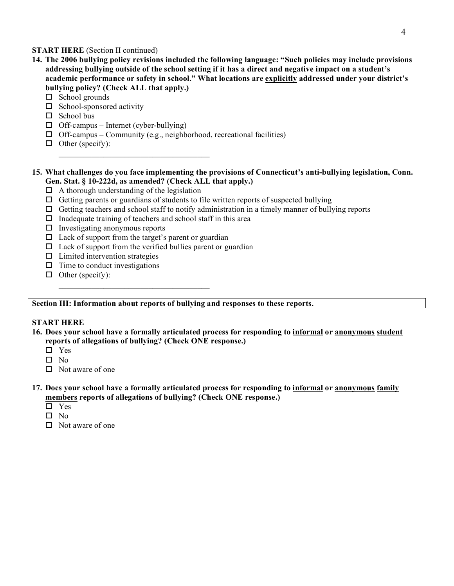#### **START HERE** *(Section II continued)*

- **14. The 2006 bullying policy revisions included the following language: "Such policies may include provisions addressing bullying outside of the school setting if it has a direct and negative impact on a student's academic performance or safety in school." What locations are explicitly addressed under your district's bullying policy? (Check ALL that apply.)**
	- $\Box$  School grounds
	- $\square$  School-sponsored activity
	- $\Box$  School bus
	- $\Box$  Off-campus Internet (cyber-bullying)
	- $\Box$  Off-campus Community (e.g., neighborhood, recreational facilities)
	- $\Box$  Other (specify):

#### **15. What challenges do you face implementing the provisions of Connecticut's anti-bullying legislation, Conn. Gen. Stat. § 10-222d, as amended? (Check ALL that apply.)**

 $\Box$  A thorough understanding of the legislation

 $\mathcal{L}_\text{max} = \mathcal{L}_\text{max} = \mathcal{L}_\text{max} = \mathcal{L}_\text{max} = \mathcal{L}_\text{max}$ 

- $\Box$  Getting parents or guardians of students to file written reports of suspected bullying
- $\Box$  Getting teachers and school staff to notify administration in a timely manner of bullying reports
- $\Box$  Inadequate training of teachers and school staff in this area
- $\Box$  Investigating anonymous reports
- $\Box$  Lack of support from the target's parent or guardian

 $\mathcal{L}_\text{max} = \mathcal{L}_\text{max} = \mathcal{L}_\text{max} = \mathcal{L}_\text{max} = \mathcal{L}_\text{max}$ 

- $\Box$  Lack of support from the verified bullies parent or guardian
- $\Box$  Limited intervention strategies
- $\Box$  Time to conduct investigations
- $\Box$  Other (specify):

#### **Section III: Information about reports of bullying and responses to these reports.**

#### **START HERE**

- **16. Does your school have a formally articulated process for responding to informal or anonymous student reports of allegations of bullying? (Check ONE response.)**
	- □ Yes
	- $\Pi$  No
	- $\Box$  Not aware of one

#### **17. Does your school have a formally articulated process for responding to informal or anonymous family members reports of allegations of bullying? (Check ONE response.)**

- Yes
- $\square$  No
- $\Box$  Not aware of one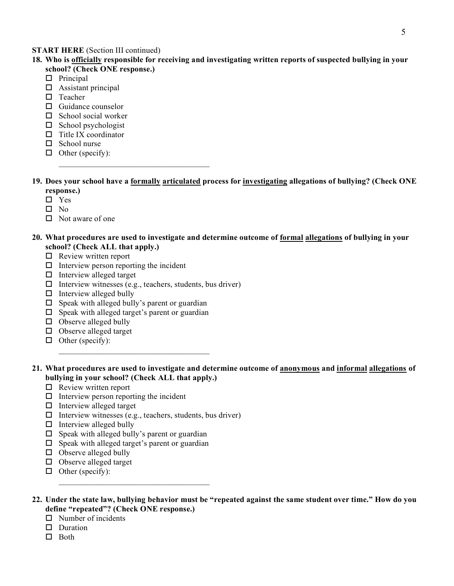#### 5

#### **START HERE** (Section III continued)

- **18. Who is officially responsible for receiving and investigating written reports of suspected bullying in your school? (Check ONE response.)**
	- $\Box$  Principal
	- $\Box$  Assistant principal
	- $\Box$  Teacher
	- $\Box$  Guidance counselor
	- $\Box$  School social worker
	- $\Box$  School psychologist
	- $\Box$  Title IX coordinator
	- $\Box$  School nurse
	- $\Box$  Other (specify):  $\mathcal{L}_\text{max} = \mathcal{L}_\text{max} = \mathcal{L}_\text{max} = \mathcal{L}_\text{max} = \mathcal{L}_\text{max}$
- **19. Does your school have a formally articulated process for investigating allegations of bullying? (Check ONE response.)**
	- □ Yes
	- $\square$  No
	- $\Box$  Not aware of one
- **20. What procedures are used to investigate and determine outcome of formal allegations of bullying in your school? (Check ALL that apply.)**
	- $\Box$  Review written report
	- $\Box$  Interview person reporting the incident
	- $\Box$  Interview alleged target
	- $\Box$  Interview witnesses (e.g., teachers, students, bus driver)
	- $\Box$  Interview alleged bully
	- $\square$  Speak with alleged bully's parent or guardian
	- $\square$  Speak with alleged target's parent or guardian

 $\mathcal{L}_\text{max} = \mathcal{L}_\text{max} = \mathcal{L}_\text{max} = \mathcal{L}_\text{max} = \mathcal{L}_\text{max}$ 

- $\Box$  Observe alleged bully
- $\Box$  Observe alleged target
- $\Box$  Other (specify):
- **21. What procedures are used to investigate and determine outcome of anonymous and informal allegations of bullying in your school? (Check ALL that apply.)**
	- $\Box$  Review written report
	- $\Box$  Interview person reporting the incident
	- $\Box$  Interview alleged target
	- $\Box$  Interview witnesses (e.g., teachers, students, bus driver)
	- $\Box$  Interview alleged bully
	- $\square$  Speak with alleged bully's parent or guardian
	- $\square$  Speak with alleged target's parent or guardian

 $\mathcal{L}_\text{max} = \mathcal{L}_\text{max} = \mathcal{L}_\text{max} = \mathcal{L}_\text{max} = \mathcal{L}_\text{max}$ 

- $\Box$  Observe alleged bully
- $\Box$  Observe alleged target
- $\Box$  Other (specify):

**22. Under the state law, bullying behavior must be "repeated against the same student over time." How do you define "repeated"? (Check ONE response.)**

- $\Box$  Number of incidents
- D Duration
- $\Box$  Both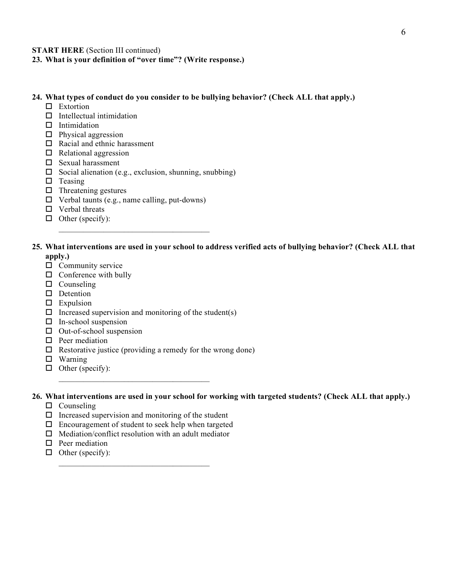#### **START HERE** (Section III continued)

**23. What is your definition of "over time"? (Write response.)**

#### **24. What types of conduct do you consider to be bullying behavior? (Check ALL that apply.)**

- □ Extortion
- $\Pi$  Intellectual intimidation
- $\Box$  Intimidation
- $\Box$  Physical aggression
- $\Box$  Racial and ethnic harassment
- $\Box$  Relational aggression
- $\square$  Sexual harassment
- $\square$  Social alienation (e.g., exclusion, shunning, snubbing)
- $\Box$  Teasing
- $\Box$  Threatening gestures
- $\Box$  Verbal taunts (e.g., name calling, put-downs)

 $\mathcal{L}_\text{max} = \mathcal{L}_\text{max} = \mathcal{L}_\text{max} = \mathcal{L}_\text{max} = \mathcal{L}_\text{max}$ 

- $\Box$  Verbal threats
- $\Box$  Other (specify):

#### **25. What interventions are used in your school to address verified acts of bullying behavior? (Check ALL that apply.)**

- $\Box$  Community service
- $\Box$  Conference with bully
- $\Box$  Counseling
- D Detention
- $\square$  Expulsion
- $\Box$  Increased supervision and monitoring of the student(s)
- $\Box$  In-school suspension
- $\Box$  Out-of-school suspension
- $\Box$  Peer mediation
- $\Box$  Restorative justice (providing a remedy for the wrong done)
- $\Box$  Warning
- $\Box$  Other (specify):

#### **26. What interventions are used in your school for working with targeted students? (Check ALL that apply.)**

- $\Box$  Counseling
- $\Box$  Increased supervision and monitoring of the student
- $\Box$  Encouragement of student to seek help when targeted
- $\Box$  Mediation/conflict resolution with an adult mediator

 $\mathcal{L}_\text{max} = \mathcal{L}_\text{max} = \mathcal{L}_\text{max} = \mathcal{L}_\text{max} = \mathcal{L}_\text{max}$ 

- $\Box$  Peer mediation
- $\Box$  Other (specify):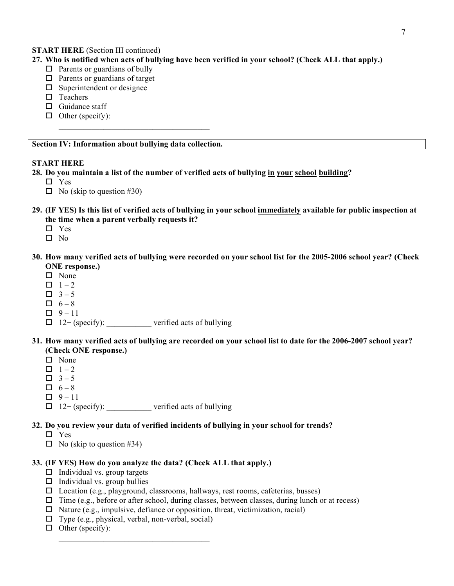#### **START HERE** (Section III continued)

- **27. Who is notified when acts of bullying have been verified in your school? (Check ALL that apply.)**
	- $\Box$  Parents or guardians of bully
	- $\Box$  Parents or guardians of target
	- $\square$  Superintendent or designee
	- $\square$  Teachers
	- $\Box$  Guidance staff
	- $\Box$  Other (specify):

#### **Section IV: Information about bullying data collection.**

 $\mathcal{L}_\text{max} = \mathcal{L}_\text{max} = \mathcal{L}_\text{max} = \mathcal{L}_\text{max} = \mathcal{L}_\text{max}$ 

#### **START HERE**

- **28. Do you maintain a list of the number of verified acts of bullying in your school building?**
	- □ Yes
	- $\Box$  No (skip to question #30)
- **29. (IF YES) Is this list of verified acts of bullying in your school immediately available for public inspection at the time when a parent verbally requests it?**
	- □ Yes
	- $\Box$  No
- **30. How many verified acts of bullying were recorded on your school list for the 2005-2006 school year? (Check ONE response.)**
	- $\square$  None
	- $\Box$  1 2
	- $\Box$  3 5
	- $\Box$  6 8
	- $\Box$  9 11
	- $\Box$  12+ (specify): verified acts of bullying
- **31. How many verified acts of bullying are recorded on your school list to date for the 2006-2007 school year? (Check ONE response.)**
	- $\Pi$  None
	- $\Box$  1 2
	- $\Box$  3 5
	- $\Box$  6 8
	- $\Box$  9 11
	- $\Box$  12+ (specify): \_\_\_\_\_\_\_\_\_\_\_ verified acts of bullying

#### **32. Do you review your data of verified incidents of bullying in your school for trends?**

- Yes
- $\Box$  No (skip to question #34)

#### **33. (IF YES) How do you analyze the data? (Check ALL that apply.)**

- $\Box$  Individual vs. group targets
- $\Box$  Individual vs. group bullies
- $\square$  Location (e.g., playground, classrooms, hallways, rest rooms, cafeterias, busses)
- $\Box$  Time (e.g., before or after school, during classes, between classes, during lunch or at recess)
- $\Box$  Nature (e.g., impulsive, defiance or opposition, threat, victimization, racial)
- $\Box$  Type (e.g., physical, verbal, non-verbal, social)
- $\Box$  Other (specify):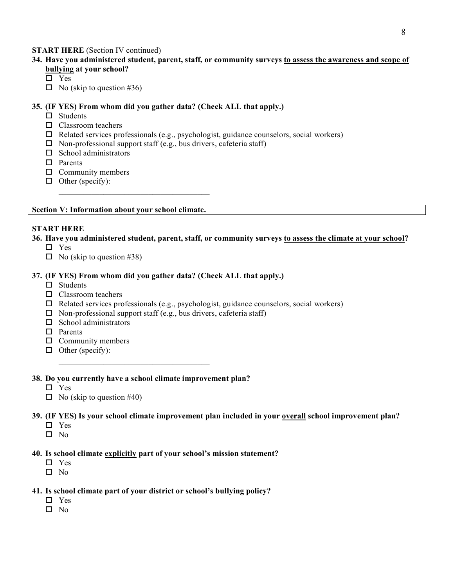#### **START HERE** (Section IV continued)

- **34. Have you administered student, parent, staff, or community surveys to assess the awareness and scope of bullying at your school?**
	- □ Yes
	- $\Box$  No (skip to question #36)

#### **35. (IF YES) From whom did you gather data? (Check ALL that apply.)**

- $\Box$  Students
- □ Classroom teachers
- $\Box$  Related services professionals (e.g., psychologist, guidance counselors, social workers)
- $\Box$  Non-professional support staff (e.g., bus drivers, cafeteria staff)
- $\square$  School administrators
- □ Parents
- $\Box$  Community members
- $\Box$  Other (specify):

#### **Section V: Information about your school climate.**

 $\mathcal{L}_\text{max} = \mathcal{L}_\text{max} = \mathcal{L}_\text{max} = \mathcal{L}_\text{max} = \mathcal{L}_\text{max}$ 

#### **START HERE**

#### **36. Have you administered student, parent, staff, or community surveys to assess the climate at your school?**

- □ Yes
- $\Box$  No (skip to question #38)

#### **37. (IF YES) From whom did you gather data? (Check ALL that apply.)**

- $\square$  Students
- □ Classroom teachers
- $\Box$  Related services professionals (e.g., psychologist, guidance counselors, social workers)
- $\Box$  Non-professional support staff (e.g., bus drivers, cafeteria staff)
- $\square$  School administrators
- □ Parents
- $\Box$  Community members
- $\Box$  Other (specify):

 $\mathcal{L}_\text{max} = \mathcal{L}_\text{max} = \mathcal{L}_\text{max} = \mathcal{L}_\text{max} = \mathcal{L}_\text{max}$ 

### **38. Do you currently have a school climate improvement plan?**

- □ Yes
- $\Box$  No (skip to question #40)

#### **39. (IF YES) Is your school climate improvement plan included in your overall school improvement plan?**

- □ Yes
- $\Box$  No

#### **40. Is school climate explicitly part of your school's mission statement?**

- □ Yes
- $\square$  No

#### **41. Is school climate part of your district or school's bullying policy?**

- □ Yes
- $\square$  No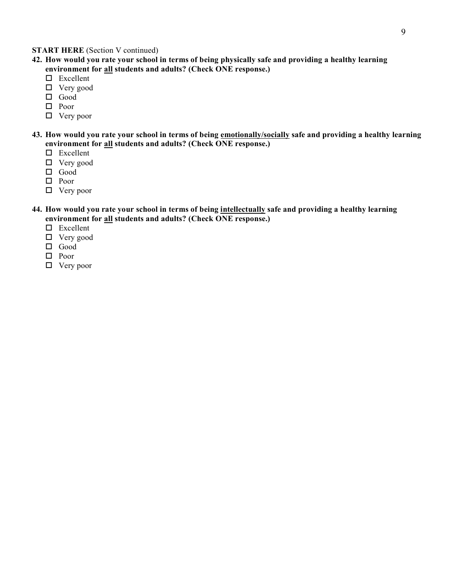#### **START HERE** (Section V continued)

- **42. How would you rate your school in terms of being physically safe and providing a healthy learning environment for all students and adults? (Check ONE response.)**
	- $\square$  Excellent
	- Very good
	- Good
	- □ Poor
	- □ Very poor
- **43. How would you rate your school in terms of being emotionally/socially safe and providing a healthy learning environment for all students and adults? (Check ONE response.)**
	- □ Excellent
	- Very good
	- $\Box$  Good
	- □ Poor
	- □ Very poor
- **44. How would you rate your school in terms of being intellectually safe and providing a healthy learning environment for all students and adults? (Check ONE response.)**
	- □ Excellent
	- Very good
	- Good
	- $\Box$  Poor
	- Very poor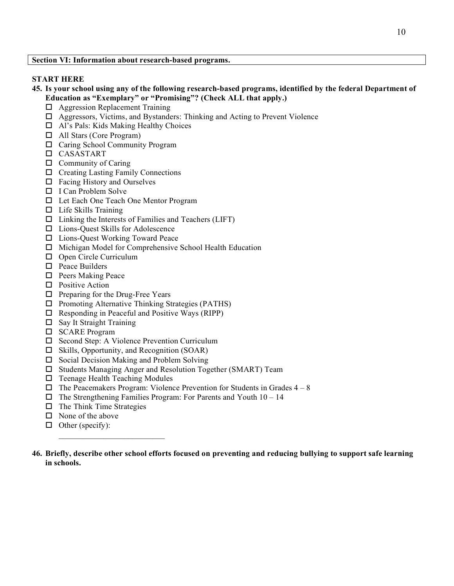#### **START HERE**

- **45. Is your school using any of the following research-based programs, identified by the federal Department of Education as "Exemplary" or "Promising"? (Check ALL that apply.)**
	- Aggression Replacement Training
	- Aggressors, Victims, and Bystanders: Thinking and Acting to Prevent Violence
	- Al's Pals: Kids Making Healthy Choices
	- All Stars (Core Program)
	- □ Caring School Community Program
	- CASASTART
	- $\Box$  Community of Caring
	- $\Box$  Creating Lasting Family Connections
	- $\Box$  Facing History and Ourselves
	- □ I Can Problem Solve
	- □ Let Each One Teach One Mentor Program
	- $\Box$  Life Skills Training
	- $\Box$  Linking the Interests of Families and Teachers (LIFT)
	- Lions-Quest Skills for Adolescence
	- Lions-Quest Working Toward Peace
	- $\Box$  Michigan Model for Comprehensive School Health Education
	- □ Open Circle Curriculum
	- $\square$  Peace Builders
	- $\Box$  Peers Making Peace
	- □ Positive Action
	- $\Box$  Preparing for the Drug-Free Years
	- $\Box$  Promoting Alternative Thinking Strategies (PATHS)
	- $\Box$  Responding in Peaceful and Positive Ways (RIPP)
	- $\Box$  Say It Straight Training
	- □ SCARE Program
	- $\square$  Second Step: A Violence Prevention Curriculum
	- $\Box$  Skills, Opportunity, and Recognition (SOAR)
	- $\Box$  Social Decision Making and Problem Solving
	- $\square$  Students Managing Anger and Resolution Together (SMART) Team
	- $\Box$  Teenage Health Teaching Modules

 $\mathcal{L}_\text{max}$  and  $\mathcal{L}_\text{max}$  and  $\mathcal{L}_\text{max}$ 

- $\Box$  The Peacemakers Program: Violence Prevention for Students in Grades  $4 8$
- $\Box$  The Strengthening Families Program: For Parents and Youth  $10 14$
- $\Box$  The Think Time Strategies
- $\Box$  None of the above
- $\Box$  Other (specify):
- **46. Briefly, describe other school efforts focused on preventing and reducing bullying to support safe learning in schools.**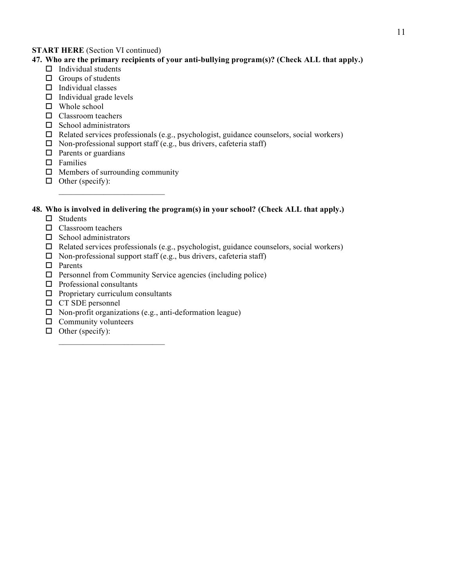### **START HERE** (Section VI continued)

### **47. Who are the primary recipients of your anti-bullying program(s)? (Check ALL that apply.)**

- $\Box$  Individual students
- $\Box$  Groups of students
- $\Box$  Individual classes
- $\Box$  Individual grade levels
- □ Whole school
- Classroom teachers
- $\Box$  School administrators
- $\Box$  Related services professionals (e.g., psychologist, guidance counselors, social workers)
- $\Box$  Non-professional support staff (e.g., bus drivers, cafeteria staff)
- $\Box$  Parents or guardians
- $\square$  Families
- $\Box$  Members of surrounding community

 $\mathcal{L}_\text{max}$  and  $\mathcal{L}_\text{max}$  and  $\mathcal{L}_\text{max}$ 

 $\Box$  Other (specify):

### **48. Who is involved in delivering the program(s) in your school? (Check ALL that apply.)**

- $\square$  Students
- □ Classroom teachers
- $\square$  School administrators
- $\Box$  Related services professionals (e.g., psychologist, guidance counselors, social workers)
- $\square$  Non-professional support staff (e.g., bus drivers, cafeteria staff)
- □ Parents
- $\Box$  Personnel from Community Service agencies (including police)
- $\square$  Professional consultants
- $\Box$  Proprietary curriculum consultants
- □ CT SDE personnel
- $\square$  Non-profit organizations (e.g., anti-deformation league)
- $\Box$  Community volunteers
- $\Box$  Other (specify):  $\mathcal{L}_\text{max}$  and  $\mathcal{L}_\text{max}$  and  $\mathcal{L}_\text{max}$  and  $\mathcal{L}_\text{max}$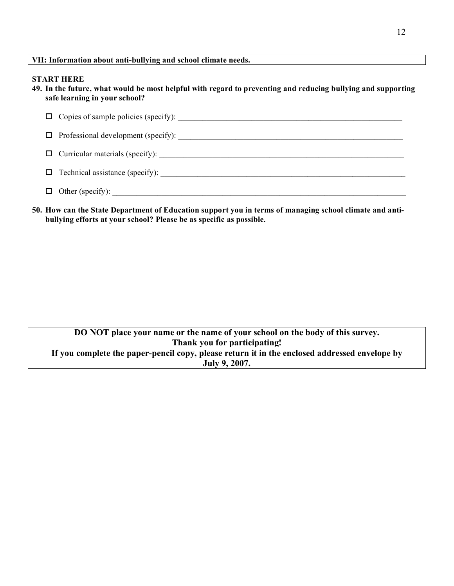#### **START HERE**

**49. In the future, what would be most helpful with regard to preventing and reducing bullying and supporting safe learning in your school?**

|     | $\Box$ Technical assistance (specify): |
|-----|----------------------------------------|
| ⊔ ∟ | Other (specify):                       |

**50. How can the State Department of Education support you in terms of managing school climate and antibullying efforts at your school? Please be as specific as possible.**

| DO NOT place your name or the name of your school on the body of this survey.                 |  |  |  |
|-----------------------------------------------------------------------------------------------|--|--|--|
| Thank you for participating!                                                                  |  |  |  |
| If you complete the paper-pencil copy, please return it in the enclosed addressed envelope by |  |  |  |
| July 9, 2007.                                                                                 |  |  |  |
|                                                                                               |  |  |  |